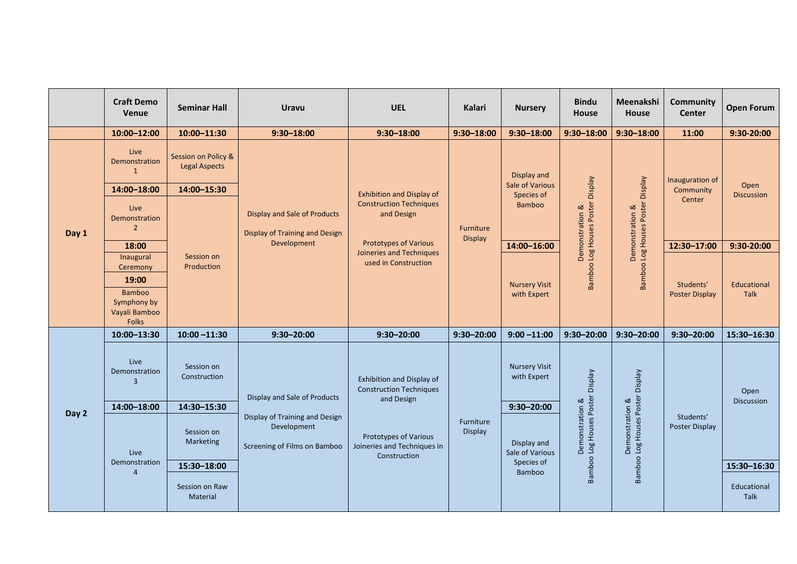|       | <b>Craft Demo</b><br><b>Venue</b>                             | <b>Seminar Hall</b>                         | <b>Uravu</b>                                                                                                  | <b>UEL</b>                                                                                                                                                           | <b>Kalari</b>               | <b>Nursery</b>                                         | <b>Bindu</b><br><b>House</b>                                  | Meenakshi<br><b>House</b>                                                  | <b>Community</b><br><b>Center</b>      | <b>Open Forum</b>          |
|-------|---------------------------------------------------------------|---------------------------------------------|---------------------------------------------------------------------------------------------------------------|----------------------------------------------------------------------------------------------------------------------------------------------------------------------|-----------------------------|--------------------------------------------------------|---------------------------------------------------------------|----------------------------------------------------------------------------|----------------------------------------|----------------------------|
|       | 10:00-12:00                                                   | 10:00-11:30                                 | $9:30 - 18:00$                                                                                                | $9:30 - 18:00$                                                                                                                                                       | $9:30 - 18:00$              | $9:30 - 18:00$                                         | $9:30 - 18:00$                                                | $9:30 - 18:00$                                                             | 11:00                                  | 9:30-20:00                 |
| Day 1 | Live<br>Demonstration                                         | Session on Policy &<br><b>Legal Aspects</b> | <b>Display and Sale of Products</b><br><b>Display of Training and Design</b><br>Development                   | <b>Exhibition and Display of</b><br><b>Construction Techniques</b><br>and Design<br><b>Prototypes of Various</b><br>Joineries and Techniques<br>used in Construction | Furniture<br><b>Display</b> | Display and<br><b>Sale of Various</b><br>Species of    | Veldsig<br>Log Houses Poster<br>Demonstration &<br>Bamboo     | Veldsig<br>Log Houses Poster<br>ಹ<br>Demonstration<br>Bamboo               | Inauguration of<br>Community<br>Center | Open<br><b>Discussion</b>  |
|       | 14:00-18:00                                                   | 14:00-15:30                                 |                                                                                                               |                                                                                                                                                                      |                             |                                                        |                                                               |                                                                            |                                        |                            |
|       | Live<br>Demonstration<br>2                                    | Session on<br>Production                    |                                                                                                               |                                                                                                                                                                      |                             | <b>Bamboo</b>                                          |                                                               |                                                                            |                                        |                            |
|       | 18:00                                                         |                                             |                                                                                                               |                                                                                                                                                                      |                             | 14:00-16:00                                            |                                                               |                                                                            | 12:30-17:00                            | 9:30-20:00                 |
|       | Inaugural<br>Ceremony                                         |                                             |                                                                                                               |                                                                                                                                                                      |                             | <b>Nursery Visit</b><br>with Expert                    |                                                               |                                                                            | Students'<br><b>Poster Display</b>     |                            |
|       | 19:00                                                         |                                             |                                                                                                               |                                                                                                                                                                      |                             |                                                        |                                                               |                                                                            |                                        | Educational<br><b>Talk</b> |
|       | <b>Bamboo</b><br>Symphony by<br>Vayali Bamboo<br><b>Folks</b> |                                             |                                                                                                               |                                                                                                                                                                      |                             |                                                        |                                                               |                                                                            |                                        |                            |
| Day 2 | 10:00-13:30                                                   | $10:00 - 11:30$                             | $9:30 - 20:00$                                                                                                | $9:30 - 20:00$                                                                                                                                                       | $9:30 - 20:00$              | $9:00 - 11:00$                                         | $9:30 - 20:00$                                                | $9:30 - 20:00$                                                             | $9:30 - 20:00$                         | 15:30-16:30                |
|       | Live<br>Demonstration<br>3                                    | Session on<br>Construction                  | Display and Sale of Products<br>Display of Training and Design<br>Development<br>Screening of Films on Bamboo | Exhibition and Display of<br><b>Construction Techniques</b><br>and Design<br>Prototypes of Various<br>Joineries and Techniques in<br>Construction                    | Furniture<br>Display        | <b>Nursery Visit</b><br>with Expert                    | Veldsi<br>Poster D<br>Demonstration &<br>Log Houses<br>Bamboo | Velds<br>$\Omega$<br>Demonstration &<br>b Log Houses Poster<br>ಹ<br>Bamboo | Students'<br>Poster Display            | Open<br><b>Discussion</b>  |
|       | 14:00-18:00                                                   | 14:30-15:30                                 |                                                                                                               |                                                                                                                                                                      |                             | $9:30 - 20:00$                                         |                                                               |                                                                            |                                        |                            |
|       | Live<br>Demonstration                                         | Session on<br>Marketing                     |                                                                                                               |                                                                                                                                                                      |                             | Display and<br>Sale of Various<br>Species of<br>Bamboo |                                                               |                                                                            |                                        |                            |
|       |                                                               | 15:30-18:00                                 |                                                                                                               |                                                                                                                                                                      |                             |                                                        |                                                               |                                                                            |                                        | 15:30-16:30                |
|       |                                                               | Session on Raw<br>Material                  |                                                                                                               |                                                                                                                                                                      |                             |                                                        |                                                               |                                                                            |                                        | Educational<br><b>Talk</b> |